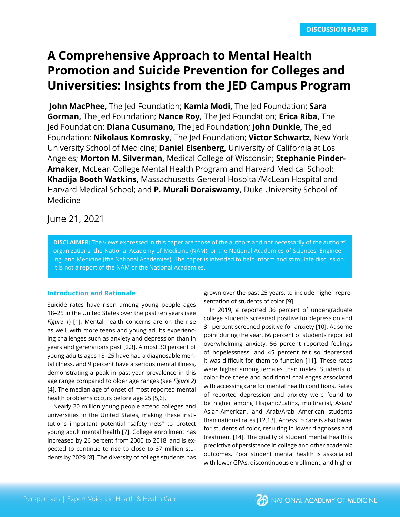# **A Comprehensive Approach to Mental Health Promotion and Suicide Prevention for Colleges and Universities: Insights from the JED Campus Program**

 **John MacPhee,** The Jed Foundation; **Kamla Modi,** The Jed Foundation; **Sara Gorman,** The Jed Foundation; **Nance Roy,** The Jed Foundation; **Erica Riba,** The Jed Foundation; **Diana Cusumano,** The Jed Foundation; **John Dunkle,** The Jed Foundation; **Nikolaus Komrosky,** The Jed Foundation; **Victor Schwartz,** New York University School of Medicine; **Daniel Eisenberg,** University of California at Los Angeles; **Morton M. Silverman,** Medical College of Wisconsin; **Stephanie Pinder-Amaker,** McLean College Mental Health Program and Harvard Medical School; **Khadija Booth Watkins,** Massachusetts General Hospital/McLean Hospital and Harvard Medical School; and **P. Murali Doraiswamy,** Duke University School of Medicine

# June 21, 2021

**DISCLAIMER:** The views expressed in this paper are those of the authors and not necessarily of the authors' organizations, the National Academy of Medicine (NAM), or the National Academies of Sciences, Engineering, and Medicine (the National Academies). The paper is intended to help inform and stimulate discussion. It is not a report of the NAM or the National Academies.

### **Introduction and Rationale**

Suicide rates have risen among young people ages 18–25 in the United States over the past ten years (see *Figure 1*) [1]. Mental health concerns are on the rise as well, with more teens and young adults experiencing challenges such as anxiety and depression than in years and generations past [2,3]. Almost 30 percent of young adults ages 18–25 have had a diagnosable mental illness, and 9 percent have a serious mental illness, demonstrating a peak in past-year prevalence in this age range compared to older age ranges (see *Figure 2*) [4]. The median age of onset of most reported mental health problems occurs before age 25 [5,6].

Nearly 20 million young people attend colleges and universities in the United States, making these institutions important potential "safety nets" to protect young adult mental health [7]. College enrollment has increased by 26 percent from 2000 to 2018, and is expected to continue to rise to close to 37 million students by 2029 [8]. The diversity of college students has

grown over the past 25 years, to include higher representation of students of color [9].

In 2019, a reported 36 percent of undergraduate college students screened positive for depression and 31 percent screened positive for anxiety [10]. At some point during the year, 66 percent of students reported overwhelming anxiety, 56 percent reported feelings of hopelessness, and 45 percent felt so depressed it was difficult for them to function [11]. These rates were higher among females than males. Students of color face these and additional challenges associated with accessing care for mental health conditions. Rates of reported depression and anxiety were found to be higher among Hispanic/Latinx, multiracial, Asian/ Asian-American, and Arab/Arab American students than national rates [12,13]. Access to care is also lower for students of color, resulting in lower diagnoses and treatment [14]. The quality of student mental health is predictive of persistence in college and other academic outcomes. Poor student mental health is associated with lower GPAs, discontinuous enrollment, and higher

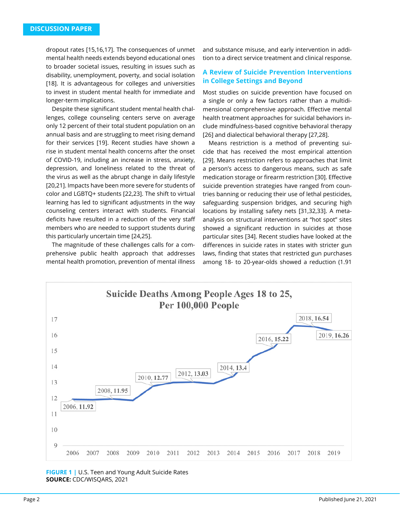dropout rates [15,16,17]. The consequences of unmet mental health needs extends beyond educational ones to broader societal issues, resulting in issues such as disability, unemployment, poverty, and social isolation [18]. It is advantageous for colleges and universities to invest in student mental health for immediate and longer-term implications.

Despite these significant student mental health challenges, college counseling centers serve on average only 12 percent of their total student population on an annual basis and are struggling to meet rising demand for their services [19]. Recent studies have shown a rise in student mental health concerns after the onset of COVID-19, including an increase in stress, anxiety, depression, and loneliness related to the threat of the virus as well as the abrupt change in daily lifestyle [20,21]. Impacts have been more severe for students of color and LGBTQ+ students [22,23]. The shift to virtual learning has led to significant adjustments in the way counseling centers interact with students. Financial deficits have resulted in a reduction of the very staff members who are needed to support students during this particularly uncertain time [24,25].

The magnitude of these challenges calls for a comprehensive public health approach that addresses mental health promotion, prevention of mental illness

and substance misuse, and early intervention in addition to a direct service treatment and clinical response.

# **A Review of Suicide Prevention Interventions in College Settings and Beyond**

Most studies on suicide prevention have focused on a single or only a few factors rather than a multidimensional comprehensive approach. Effective mental health treatment approaches for suicidal behaviors include mindfulness-based cognitive behavioral therapy [26] and dialectical behavioral therapy [27,28].

Means restriction is a method of preventing suicide that has received the most empirical attention [29]. Means restriction refers to approaches that limit a person's access to dangerous means, such as safe medication storage or firearm restriction [30]. Effective suicide prevention strategies have ranged from countries banning or reducing their use of lethal pesticides, safeguarding suspension bridges, and securing high locations by installing safety nets [31,32,33]. A metaanalysis on structural interventions at "hot spot" sites showed a significant reduction in suicides at those particular sites [34]. Recent studies have looked at the differences in suicide rates in states with stricter gun laws, finding that states that restricted gun purchases among 18- to 20-year-olds showed a reduction (1.91



#### **FIGURE 1 |** U.S. Teen and Young Adult Suicide Rates **SOURCE:** CDC/WISQARS, 2021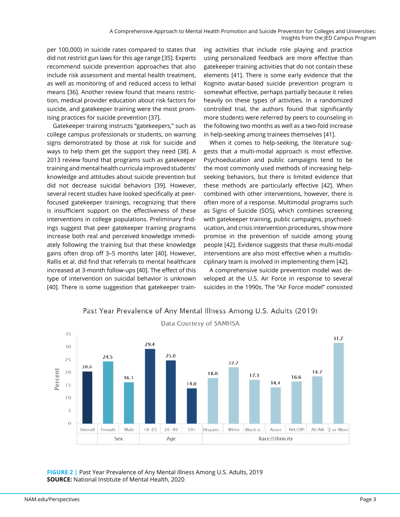per 100,000) in suicide rates compared to states that did not restrict gun laws for this age range [35]. Experts recommend suicide prevention approaches that also include risk assessment and mental health treatment, as well as monitoring of and reduced access to lethal means [36]. Another review found that means restriction, medical provider education about risk factors for suicide, and gatekeeper training were the most promising practices for suicide prevention [37].

Gatekeeper training instructs "gatekeepers," such as college campus professionals or students, on warning signs demonstrated by those at risk for suicide and ways to help them get the support they need [38]. A 2013 review found that programs such as gatekeeper training and mental health curricula improved students' knowledge and attitudes about suicide prevention but did not decrease suicidal behaviors [39]. However, several recent studies have looked specifically at peerfocused gatekeeper trainings, recognizing that there is insufficient support on the effectiveness of these interventions in college populations. Preliminary findings suggest that peer gatekeeper training programs increase both real and perceived knowledge immediately following the training but that these knowledge gains often drop off 3–5 months later [40]. However, Rallis et al. did find that referrals to mental healthcare increased at 3-month follow-ups [40]. The effect of this type of intervention on suicidal behavior is unknown [40]. There is some suggestion that gatekeeper training activities that include role playing and practice using personalized feedback are more effective than gatekeeper training activities that do not contain these elements [41]. There is some early evidence that the Kognito avatar-based suicide prevention program is somewhat effective, perhaps partially because it relies heavily on these types of activities. In a randomized controlled trial, the authors found that significantly more students were referred by peers to counseling in the following two months as well as a two-fold increase in help-seeking among trainees themselves [41].

When it comes to help-seeking, the literature suggests that a multi-modal approach is most effective. Psychoeducation and public campaigns tend to be the most commonly used methods of increasing helpseeking behaviors, but there is limited evidence that these methods are particularly effective [42]. When combined with other interventions, however, there is often more of a response. Multimodal programs such as Signs of Suicide (SOS), which combines screening with gatekeeper training, public campaigns, psychoeducation, and crisis intervention procedures, show more promise in the prevention of suicide among young people [42]. Evidence suggests that these multi-modal interventions are also most effective when a multidisciplinary team is involved in implementing them [42].

A comprehensive suicide prevention model was developed at the U.S. Air Force in response to several suicides in the 1990s. The "Air Force model" consisted



# Past Year Prevalence of Any Mental Illness Among U.S. Adults (2019)

**FIGURE 2 |** Past Year Prevalence of Any Mental Illness Among U.S. Adults, 2019 **SOURCE:** National Institute of Mental Health, 2020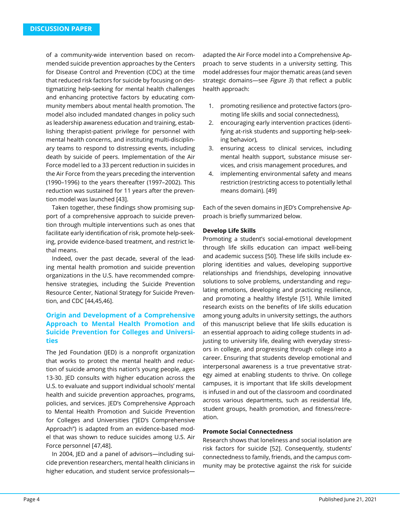of a community-wide intervention based on recommended suicide prevention approaches by the Centers for Disease Control and Prevention (CDC) at the time that reduced risk factors for suicide by focusing on destigmatizing help-seeking for mental health challenges and enhancing protective factors by educating community members about mental health promotion. The model also included mandated changes in policy such as leadership awareness education and training, establishing therapist-patient privilege for personnel with mental health concerns, and instituting multi-disciplinary teams to respond to distressing events, including death by suicide of peers. Implementation of the Air Force model led to a 33 percent reduction in suicides in the Air Force from the years preceding the intervention (1990–1996) to the years thereafter (1997–2002). This reduction was sustained for 11 years after the prevention model was launched [43].

Taken together, these findings show promising support of a comprehensive approach to suicide prevention through multiple interventions such as ones that facilitate early identification of risk, promote help-seeking, provide evidence-based treatment, and restrict lethal means.

Indeed, over the past decade, several of the leading mental health promotion and suicide prevention organizations in the U.S. have recommended comprehensive strategies, including the Suicide Prevention Resource Center, National Strategy for Suicide Prevention, and CDC [44,45,46].

# **Origin and Development of a Comprehensive Approach to Mental Health Promotion and Suicide Prevention for Colleges and Universities**

The Jed Foundation (JED) is a nonprofit organization that works to protect the mental health and reduction of suicide among this nation's young people, ages 13-30. JED consults with higher education across the U.S. to evaluate and support individual schools' mental health and suicide prevention approaches, programs, policies, and services. JED's Comprehensive Approach to Mental Health Promotion and Suicide Prevention for Colleges and Universities ("JED's Comprehensive Approach") is adapted from an evidence-based model that was shown to reduce suicides among U.S. Air Force personnel [47,48].

In 2004, JED and a panel of advisors—including suicide prevention researchers, mental health clinicians in higher education, and student service professionalsadapted the Air Force model into a Comprehensive Approach to serve students in a university setting. This model addresses four major thematic areas (and seven strategic domains—see *Figure 3*) that reflect a public health approach:

- 1. promoting resilience and protective factors (promoting life skills and social connectedness),
- 2. encouraging early intervention practices (identifying at-risk students and supporting help-seeking behavior),
- 3. ensuring access to clinical services, including mental health support, substance misuse services, and crisis management procedures, and
- 4. implementing environmental safety and means restriction (restricting access to potentially lethal means domain). [49]

Each of the seven domains in JED's Comprehensive Approach is briefly summarized below.

#### **Develop Life Skills**

Promoting a student's social-emotional development through life skills education can impact well-being and academic success [50]. These life skills include exploring identities and values, developing supportive relationships and friendships, developing innovative solutions to solve problems, understanding and regulating emotions, developing and practicing resilience, and promoting a healthy lifestyle [51]. While limited research exists on the benefits of life skills education among young adults in university settings, the authors of this manuscript believe that life skills education is an essential approach to aiding college students in adjusting to university life, dealing with everyday stressors in college, and progressing through college into a career. Ensuring that students develop emotional and interpersonal awareness is a true preventative strategy aimed at enabling students to thrive. On college campuses, it is important that life skills development is infused in and out of the classroom and coordinated across various departments, such as residential life, student groups, health promotion, and fitness/recreation.

#### **Promote Social Connectedness**

Research shows that loneliness and social isolation are risk factors for suicide [52]. Consequently, students' connectedness to family, friends, and the campus community may be protective against the risk for suicide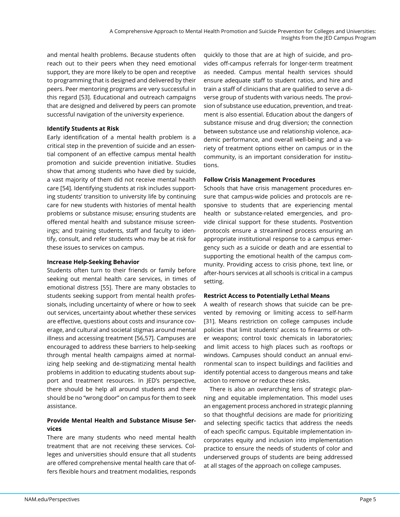and mental health problems. Because students often reach out to their peers when they need emotional support, they are more likely to be open and receptive to programming that is designed and delivered by their peers. Peer mentoring programs are very successful in this regard [53]. Educational and outreach campaigns that are designed and delivered by peers can promote successful navigation of the university experience.

### **Identify Students at Risk**

Early identification of a mental health problem is a critical step in the prevention of suicide and an essential component of an effective campus mental health promotion and suicide prevention initiative. Studies show that among students who have died by suicide, a vast majority of them did not receive mental health care [54]. Identifying students at risk includes supporting students' transition to university life by continuing care for new students with histories of mental health problems or substance misuse; ensuring students are offered mental health and substance misuse screenings; and training students, staff and faculty to identify, consult, and refer students who may be at risk for these issues to services on campus.

#### **Increase Help-Seeking Behavior**

Students often turn to their friends or family before seeking out mental health care services, in times of emotional distress [55]. There are many obstacles to students seeking support from mental health professionals, including uncertainty of where or how to seek out services, uncertainty about whether these services are effective, questions about costs and insurance coverage, and cultural and societal stigmas around mental illness and accessing treatment [56,57]. Campuses are encouraged to address these barriers to help-seeking through mental health campaigns aimed at normalizing help seeking and de-stigmatizing mental health problems in addition to educating students about support and treatment resources. In JED's perspective, there should be help all around students and there should be no "wrong door" on campus for them to seek assistance.

# **Provide Mental Health and Substance Misuse Services**

There are many students who need mental health treatment that are not receiving these services. Colleges and universities should ensure that all students are offered comprehensive mental health care that offers flexible hours and treatment modalities, responds

quickly to those that are at high of suicide, and provides off-campus referrals for longer-term treatment as needed. Campus mental health services should ensure adequate staff to student ratios, and hire and train a staff of clinicians that are qualified to serve a diverse group of students with various needs. The provision of substance use education, prevention, and treatment is also essential. Education about the dangers of substance misuse and drug diversion; the connection between substance use and relationship violence, academic performance, and overall well-being; and a variety of treatment options either on campus or in the community, is an important consideration for institutions.

# **Follow Crisis Management Procedures**

Schools that have crisis management procedures ensure that campus-wide policies and protocols are responsive to students that are experiencing mental health or substance-related emergencies, and provide clinical support for these students. Postvention protocols ensure a streamlined process ensuring an appropriate institutional response to a campus emergency such as a suicide or death and are essential to supporting the emotional health of the campus community. Providing access to crisis phone, text line, or after-hours services at all schools is critical in a campus setting.

### **Restrict Access to Potentially Lethal Means**

A wealth of research shows that suicide can be prevented by removing or limiting access to self-harm [31]. Means restriction on college campuses include policies that limit students' access to firearms or other weapons; control toxic chemicals in laboratories; and limit access to high places such as rooftops or windows. Campuses should conduct an annual environmental scan to inspect buildings and facilities and identify potential access to dangerous means and take action to remove or reduce these risks.

There is also an overarching lens of strategic planning and equitable implementation. This model uses an engagement process anchored in strategic planning so that thoughtful decisions are made for prioritizing and selecting specific tactics that address the needs of each specific campus. Equitable implementation incorporates equity and inclusion into implementation practice to ensure the needs of students of color and underserved groups of students are being addressed at all stages of the approach on college campuses.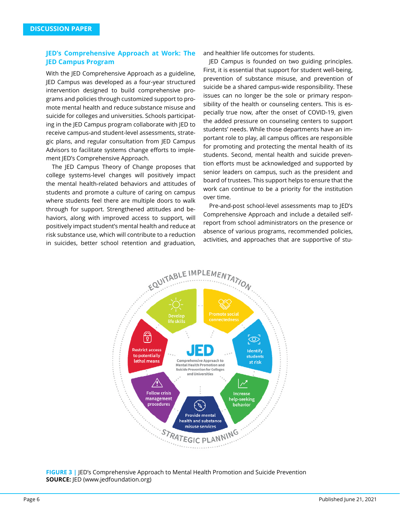### **JED's Comprehensive Approach at Work: The JED Campus Program**

With the JED Comprehensive Approach as a guideline, JED Campus was developed as a four-year structured intervention designed to build comprehensive programs and policies through customized support to promote mental health and reduce substance misuse and suicide for colleges and universities. Schools participating in the JED Campus program collaborate with JED to receive campus-and student-level assessments, strategic plans, and regular consultation from JED Campus Advisors to facilitate systems change efforts to implement JED's Comprehensive Approach.

The JED Campus Theory of Change proposes that college systems-level changes will positively impact the mental health-related behaviors and attitudes of students and promote a culture of caring on campus where students feel there are multiple doors to walk through for support. Strengthened attitudes and behaviors, along with improved access to support, will positively impact student's mental health and reduce at risk substance use, which will contribute to a reduction in suicides, better school retention and graduation, and healthier life outcomes for students.

JED Campus is founded on two guiding principles. First, it is essential that support for student well-being, prevention of substance misuse, and prevention of suicide be a shared campus-wide responsibility. These issues can no longer be the sole or primary responsibility of the health or counseling centers. This is especially true now, after the onset of COVID-19, given the added pressure on counseling centers to support students' needs. While those departments have an important role to play, all campus offices are responsible for promoting and protecting the mental health of its students. Second, mental health and suicide prevention efforts must be acknowledged and supported by senior leaders on campus, such as the president and board of trustees. This support helps to ensure that the work can continue to be a priority for the institution over time.

Pre-and-post school-level assessments map to JED's Comprehensive Approach and include a detailed selfreport from school administrators on the presence or absence of various programs, recommended policies, activities, and approaches that are supportive of stu-



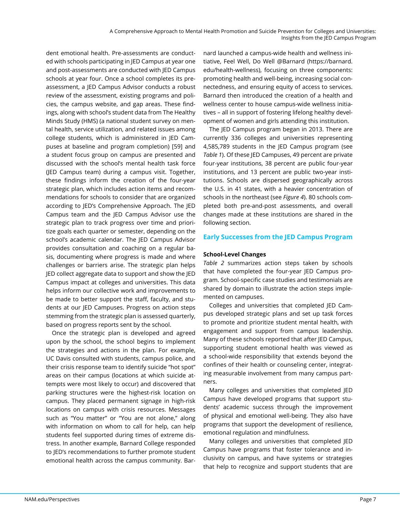dent emotional health. Pre-assessments are conducted with schools participating in JED Campus at year one and post-assessments are conducted with JED Campus schools at year four. Once a school completes its preassessment, a JED Campus Advisor conducts a robust review of the assessment, existing programs and policies, the campus website, and gap areas. These findings, along with school's student data from The Healthy Minds Study (HMS) (a national student survey on mental health, service utilization, and related issues among college students, which is administered in JED Campuses at baseline and program completion) [59] and a student focus group on campus are presented and discussed with the school's mental health task force (JED Campus team) during a campus visit. Together, these findings inform the creation of the four-year strategic plan, which includes action items and recommendations for schools to consider that are organized according to JED's Comprehensive Approach. The JED Campus team and the JED Campus Advisor use the strategic plan to track progress over time and prioritize goals each quarter or semester, depending on the school's academic calendar. The JED Campus Advisor provides consultation and coaching on a regular basis, documenting where progress is made and where challenges or barriers arise. The strategic plan helps JED collect aggregate data to support and show the JED Campus impact at colleges and universities. This data helps inform our collective work and improvements to be made to better support the staff, faculty, and students at our JED Campuses. Progress on action steps stemming from the strategic plan is assessed quarterly, based on progress reports sent by the school.

Once the strategic plan is developed and agreed upon by the school, the school begins to implement the strategies and actions in the plan. For example, UC Davis consulted with students, campus police, and their crisis response team to identify suicide "hot spot" areas on their campus (locations at which suicide attempts were most likely to occur) and discovered that parking structures were the highest-risk location on campus. They placed permanent signage in high-risk locations on campus with crisis resources. Messages such as "You matter" or "You are not alone," along with information on whom to call for help, can help students feel supported during times of extreme distress. In another example, Barnard College responded to JED's recommendations to further promote student emotional health across the campus community. Bar-

nard launched a campus-wide health and wellness initiative, Feel Well, Do Well @Barnard (https://barnard. edu/health-wellness), focusing on three components: promoting health and well-being, increasing social connectedness, and ensuring equity of access to services. Barnard then introduced the creation of a health and wellness center to house campus-wide wellness initiatives – all in support of fostering lifelong healthy development of women and girls attending this institution.

The JED Campus program began in 2013. There are currently 336 colleges and universities representing 4,585,789 students in the JED Campus program (see *Table 1*). Of these JED Campuses, 49 percent are private four-year institutions, 38 percent are public four-year institutions, and 13 percent are public two-year institutions. Schools are dispersed geographically across the U.S. in 41 states, with a heavier concentration of schools in the northeast (see *Figure 4*). 80 schools completed both pre-and-post assessments, and overall changes made at these institutions are shared in the following section.

### **Early Successes from the JED Campus Program**

#### **School-Level Changes**

*Table 2* summarizes action steps taken by schools that have completed the four-year JED Campus program. School-specific case studies and testimonials are shared by domain to illustrate the action steps implemented on campuses.

Colleges and universities that completed JED Campus developed strategic plans and set up task forces to promote and prioritize student mental health, with engagement and support from campus leadership. Many of these schools reported that after JED Campus, supporting student emotional health was viewed as a school-wide responsibility that extends beyond the confines of their health or counseling center, integrating measurable involvement from many campus partners.

Many colleges and universities that completed JED Campus have developed programs that support students' academic success through the improvement of physical and emotional well-being. They also have programs that support the development of resilience, emotional regulation and mindfulness.

Many colleges and universities that completed JED Campus have programs that foster tolerance and inclusivity on campus, and have systems or strategies that help to recognize and support students that are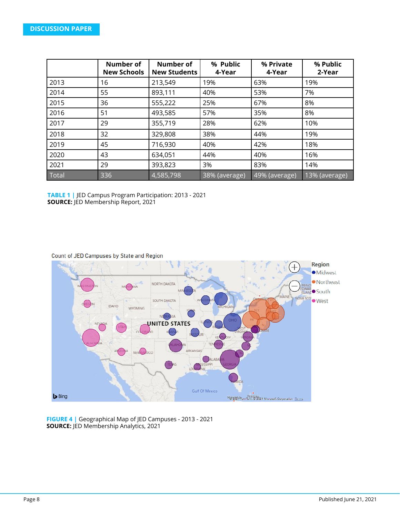|       | <b>Number of</b><br><b>New Schools</b> | <b>Number of</b><br><b>New Students</b> | % Public<br>4-Year | % Private<br>4-Year | % Public<br>2-Year |
|-------|----------------------------------------|-----------------------------------------|--------------------|---------------------|--------------------|
| 2013  | 16                                     | 213,549                                 | 19%                | 63%                 | 19%                |
| 2014  | 55                                     | 893,111                                 | 40%                | 53%                 | 7%                 |
| 2015  | 36                                     | 555,222                                 | 25%                | 67%                 | 8%                 |
| 2016  | 51                                     | 493,585                                 | 57%                | 35%                 | 8%                 |
| 2017  | 29                                     | 355,719                                 | 28%                | 62%                 | 10%                |
| 2018  | 32                                     | 329,808                                 | 38%                | 44%                 | 19%                |
| 2019  | 45                                     | 716,930                                 | 40%                | 42%                 | 18%                |
| 2020  | 43                                     | 634,051                                 | 44%                | 40%                 | 16%                |
| 2021  | 29                                     | 393,823                                 | 3%                 | 83%                 | 14%                |
| Total | 336                                    | 4,585,798                               | 38% (average)      | 49% (average)       | 13% (average)      |

**TABLE 1 |** JED Campus Program Participation: 2013 - 2021 **SOURCE:** JED Membership Report, 2021

Count of JED Campuses by State and Region



**FIGURE 4 |** Geographical Map of JED Campuses - 2013 - 2021 **SOURCE:** JED Membership Analytics, 2021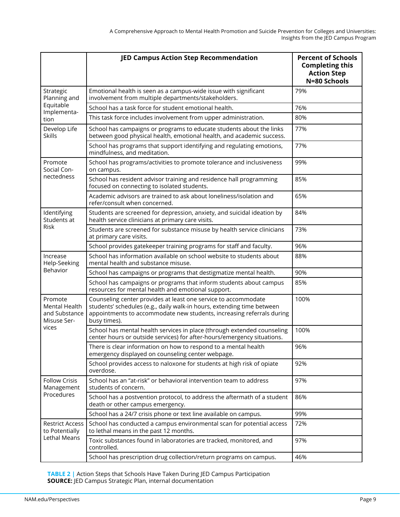|                                                                          | <b>JED Campus Action Step Recommendation</b>                                                                                                                                                                                      | <b>Percent of Schools</b><br><b>Completing this</b><br><b>Action Step</b><br>N=80 Schools |
|--------------------------------------------------------------------------|-----------------------------------------------------------------------------------------------------------------------------------------------------------------------------------------------------------------------------------|-------------------------------------------------------------------------------------------|
| Strategic<br>Planning and<br>Equitable<br>Implementa-<br>tion            | Emotional health is seen as a campus-wide issue with significant<br>involvement from multiple departments/stakeholders.                                                                                                           | 79%                                                                                       |
|                                                                          | School has a task force for student emotional health.                                                                                                                                                                             | 76%                                                                                       |
|                                                                          | This task force includes involvement from upper administration.                                                                                                                                                                   | 80%                                                                                       |
| Develop Life<br><b>Skills</b>                                            | School has campaigns or programs to educate students about the links<br>between good physical health, emotional health, and academic success.                                                                                     | 77%                                                                                       |
|                                                                          | School has programs that support identifying and regulating emotions,<br>mindfulness, and meditation.                                                                                                                             | 77%                                                                                       |
| Promote<br>Social Con-<br>nectedness                                     | School has programs/activities to promote tolerance and inclusiveness<br>on campus.                                                                                                                                               | 99%                                                                                       |
|                                                                          | School has resident advisor training and residence hall programming<br>focused on connecting to isolated students.                                                                                                                | 85%                                                                                       |
|                                                                          | Academic advisors are trained to ask about loneliness/isolation and<br>refer/consult when concerned.                                                                                                                              | 65%                                                                                       |
| Identifying<br>Students at<br><b>Risk</b>                                | Students are screened for depression, anxiety, and suicidal ideation by<br>health service clinicians at primary care visits.                                                                                                      | 84%                                                                                       |
|                                                                          | Students are screened for substance misuse by health service clinicians<br>at primary care visits.                                                                                                                                | 73%                                                                                       |
|                                                                          | School provides gatekeeper training programs for staff and faculty.                                                                                                                                                               | 96%                                                                                       |
| Increase<br>Help-Seeking<br>Behavior                                     | School has information available on school website to students about<br>mental health and substance misuse.                                                                                                                       | 88%                                                                                       |
|                                                                          | School has campaigns or programs that destigmatize mental health.                                                                                                                                                                 | 90%                                                                                       |
|                                                                          | School has campaigns or programs that inform students about campus<br>resources for mental health and emotional support.                                                                                                          | 85%                                                                                       |
| Promote<br><b>Mental Health</b><br>and Substance<br>Misuse Ser-<br>vices | Counseling center provides at least one service to accommodate<br>students' schedules (e.g., daily walk-in hours, extending time between<br>appointments to accommodate new students, increasing referrals during<br>busy times). | 100%                                                                                      |
|                                                                          | School has mental health services in place (through extended counseling<br>center hours or outside services) for after-hours/emergency situations.                                                                                | 100%                                                                                      |
|                                                                          | There is clear information on how to respond to a mental health<br>emergency displayed on counseling center webpage.                                                                                                              | 96%                                                                                       |
|                                                                          | School provides access to naloxone for students at high risk of opiate<br>overdose.                                                                                                                                               | 92%                                                                                       |
| <b>Follow Crisis</b><br>Management<br>Procedures                         | School has an "at-risk" or behavioral intervention team to address<br>students of concern.                                                                                                                                        | 97%                                                                                       |
|                                                                          | School has a postvention protocol, to address the aftermath of a student<br>death or other campus emergency.                                                                                                                      | 86%                                                                                       |
|                                                                          | School has a 24/7 crisis phone or text line available on campus.                                                                                                                                                                  | 99%                                                                                       |
| <b>Restrict Access</b><br>to Potentially<br>Lethal Means                 | School has conducted a campus environmental scan for potential access<br>to lethal means in the past 12 months.                                                                                                                   | 72%                                                                                       |
|                                                                          | Toxic substances found in laboratories are tracked, monitored, and<br>controlled.                                                                                                                                                 | 97%                                                                                       |
|                                                                          | School has prescription drug collection/return programs on campus.                                                                                                                                                                | 46%                                                                                       |

**TABLE 2 |** Action Steps that Schools Have Taken During JED Campus Participation **SOURCE:** JED Campus Strategic Plan, internal documentation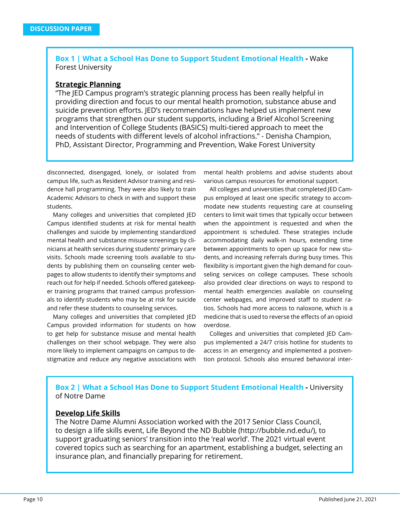**Box 1 | What a School Has Done to Support Student Emotional Health -** Wake Forest University

### **Strategic Planning**

"The JED Campus program's strategic planning process has been really helpful in providing direction and focus to our mental health promotion, substance abuse and suicide prevention efforts. JED's recommendations have helped us implement new programs that strengthen our student supports, including a Brief Alcohol Screening and Intervention of College Students (BASICS) multi-tiered approach to meet the needs of students with different levels of alcohol infractions." - Denisha Champion, PhD, Assistant Director, Programming and Prevention, Wake Forest University

disconnected, disengaged, lonely, or isolated from campus life, such as Resident Advisor training and residence hall programming. They were also likely to train Academic Advisors to check in with and support these students.

Many colleges and universities that completed JED Campus identified students at risk for mental health challenges and suicide by implementing standardized mental health and substance misuse screenings by clinicians at health services during students' primary care visits. Schools made screening tools available to students by publishing them on counseling center webpages to allow students to identify their symptoms and reach out for help if needed. Schools offered gatekeeper training programs that trained campus professionals to identify students who may be at risk for suicide and refer these students to counseling services.

Many colleges and universities that completed JED Campus provided information for students on how to get help for substance misuse and mental health challenges on their school webpage. They were also more likely to implement campaigns on campus to destigmatize and reduce any negative associations with

mental health problems and advise students about various campus resources for emotional support.

All colleges and universities that completed JED Campus employed at least one specific strategy to accommodate new students requesting care at counseling centers to limit wait times that typically occur between when the appointment is requested and when the appointment is scheduled. These strategies include accommodating daily walk-in hours, extending time between appointments to open up space for new students, and increasing referrals during busy times. This flexibility is important given the high demand for counseling services on college campuses. These schools also provided clear directions on ways to respond to mental health emergencies available on counseling center webpages, and improved staff to student ratios. Schools had more access to naloxone, which is a medicine that is used to reverse the effects of an opioid overdose.

Colleges and universities that completed JED Campus implemented a 24/7 crisis hotline for students to access in an emergency and implemented a postvention protocol. Schools also ensured behavioral inter-

# **Box 2 | What a School Has Done to Support Student Emotional Health - University** of Notre Dame

### **Develop Life Skills**

The Notre Dame Alumni Association worked with the 2017 Senior Class Council, to design a life skills event, Life Beyond the ND Bubble (http://bubble.nd.edu/), to support graduating seniors' transition into the 'real world'. The 2021 virtual event covered topics such as searching for an apartment, establishing a budget, selecting an insurance plan, and financially preparing for retirement.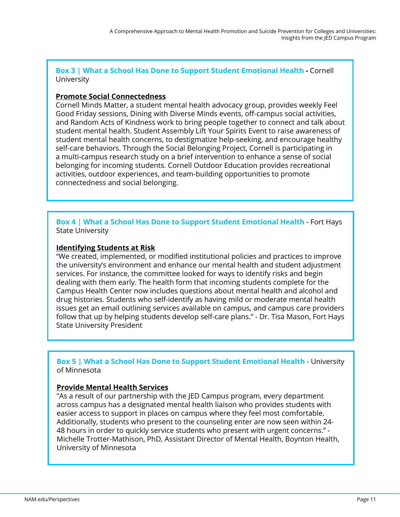**Box 3 | What a School Has Done to Support Student Emotional Health -** Cornell University

# **Promote Social Connectedness**

Cornell Minds Matter, a student mental health advocacy group, provides weekly Feel Good Friday sessions, Dining with Diverse Minds events, off-campus social activities, and Random Acts of Kindness work to bring people together to connect and talk about student mental health. Student Assembly Lift Your Spirits Event to raise awareness of student mental health concerns, to destigmatize help-seeking, and encourage healthy self-care behaviors. Through the Social Belonging Project, Cornell is participating in a multi-campus research study on a brief intervention to enhance a sense of social belonging for incoming students. Cornell Outdoor Education provides recreational activities, outdoor experiences, and team-building opportunities to promote connectedness and social belonging.

# **Box 4 | What a School Has Done to Support Student Emotional Health** - Fort Hays State University

# **Identifying Students at Risk**

"We created, implemented, or modified institutional policies and practices to improve the university's environment and enhance our mental health and student adjustment services. For instance, the committee looked for ways to identify risks and begin dealing with them early. The health form that incoming students complete for the Campus Health Center now includes questions about mental health and alcohol and drug histories. Students who self-identify as having mild or moderate mental health issues get an email outlining services available on campus, and campus care providers follow that up by helping students develop self-care plans." - Dr. Tisa Mason, Fort Hays State University President

# **Box 5 | What a School Has Done to Support Student Emotional Health** - University of Minnesota

# **Provide Mental Health Services**

"As a result of our partnership with the JED Campus program, every department across campus has a designated mental health liaison who provides students with easier access to support in places on campus where they feel most comfortable. Additionally, students who present to the counseling enter are now seen within 24- 48 hours in order to quickly service students who present with urgent concerns." - Michelle Trotter-Mathison, PhD, Assistant Director of Mental Health, Boynton Health, University of Minnesota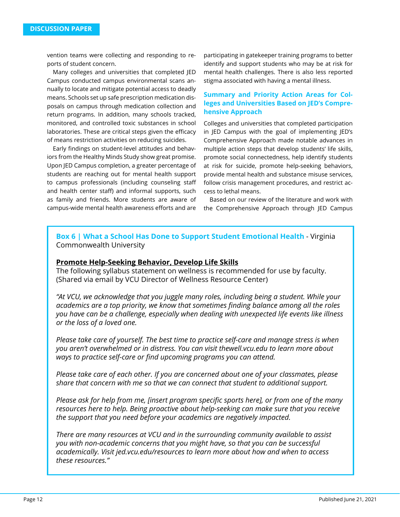vention teams were collecting and responding to reports of student concern.

Many colleges and universities that completed JED Campus conducted campus environmental scans annually to locate and mitigate potential access to deadly means. Schools set up safe prescription medication disposals on campus through medication collection and return programs. In addition, many schools tracked, monitored, and controlled toxic substances in school laboratories. These are critical steps given the efficacy of means restriction activities on reducing suicides.

Early findings on student-level attitudes and behaviors from the Healthy Minds Study show great promise. Upon JED Campus completion, a greater percentage of students are reaching out for mental health support to campus professionals (including counseling staff and health center staff) and informal supports, such as family and friends. More students are aware of campus-wide mental health awareness efforts and are participating in gatekeeper training programs to better identify and support students who may be at risk for mental health challenges. There is also less reported stigma associated with having a mental illness.

### **Summary and Priority Action Areas for Colleges and Universities Based on JED's Comprehensive Approach**

Colleges and universities that completed participation in JED Campus with the goal of implementing JED's Comprehensive Approach made notable advances in multiple action steps that develop students' life skills, promote social connectedness, help identify students at risk for suicide, promote help-seeking behaviors, provide mental health and substance misuse services, follow crisis management procedures, and restrict access to lethal means.

Based on our review of the literature and work with the Comprehensive Approach through JED Campus

**Box 6 | What a School Has Done to Support Student Emotional Health** - Virginia Commonwealth University

### **Promote Help-Seeking Behavior, Develop Life Skills**

The following syllabus statement on wellness is recommended for use by faculty. (Shared via email by VCU Director of Wellness Resource Center)

*"At VCU, we acknowledge that you juggle many roles, including being a student. While your academics are a top priority, we know that sometimes finding balance among all the roles you have can be a challenge, especially when dealing with unexpected life events like illness or the loss of a loved one.*

*Please take care of yourself. The best time to practice self-care and manage stress is when you aren't overwhelmed or in distress. You can visit thewell.vcu.edu to learn more about ways to practice self-care or find upcoming programs you can attend.*

*Please take care of each other. If you are concerned about one of your classmates, please share that concern with me so that we can connect that student to additional support.* 

*Please ask for help from me, [insert program specific sports here], or from one of the many resources here to help. Being proactive about help-seeking can make sure that you receive the support that you need before your academics are negatively impacted.*

*There are many resources at VCU and in the surrounding community available to assist you with non-academic concerns that you might have, so that you can be successful academically. Visit jed.vcu.edu/resources to learn more about how and when to access these resources."*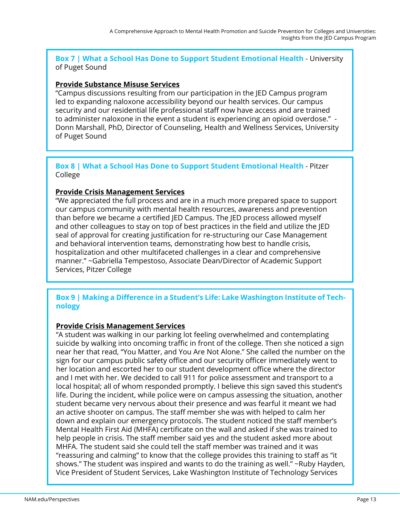# **Box 7 | What a School Has Done to Support Student Emotional Health** - University of Puget Sound

# **Provide Substance Misuse Services**

"Campus discussions resulting from our participation in the JED Campus program led to expanding naloxone accessibility beyond our health services. Our campus security and our residential life professional staff now have access and are trained to administer naloxone in the event a student is experiencing an opioid overdose." - Donn Marshall, PhD, Director of Counseling, Health and Wellness Services, University of Puget Sound

**Box 8 | What a School Has Done to Support Student Emotional Health** - Pitzer College

# **Provide Crisis Management Services**

"We appreciated the full process and are in a much more prepared space to support our campus community with mental health resources, awareness and prevention than before we became a certified JED Campus. The JED process allowed myself and other colleagues to stay on top of best practices in the field and utilize the JED seal of approval for creating justification for re-structuring our Case Management and behavioral intervention teams, demonstrating how best to handle crisis, hospitalization and other multifaceted challenges in a clear and comprehensive manner." ~Gabriella Tempestoso, Associate Dean/Director of Academic Support Services, Pitzer College

# **Box 9 | Making a Difference in a Student's Life: Lake Washington Institute of Technology**

# **Provide Crisis Management Services**

"A student was walking in our parking lot feeling overwhelmed and contemplating suicide by walking into oncoming traffic in front of the college. Then she noticed a sign near her that read, "You Matter, and You Are Not Alone." She called the number on the sign for our campus public safety office and our security officer immediately went to her location and escorted her to our student development office where the director and I met with her. We decided to call 911 for police assessment and transport to a local hospital; all of whom responded promptly. I believe this sign saved this student's life. During the incident, while police were on campus assessing the situation, another student became very nervous about their presence and was fearful it meant we had an active shooter on campus. The staff member she was with helped to calm her down and explain our emergency protocols. The student noticed the staff member's Mental Health First Aid (MHFA) certificate on the wall and asked if she was trained to help people in crisis. The staff member said yes and the student asked more about MHFA. The student said she could tell the staff member was trained and it was "reassuring and calming" to know that the college provides this training to staff as "it shows." The student was inspired and wants to do the training as well." ~Ruby Hayden, Vice President of Student Services, Lake Washington Institute of Technology Services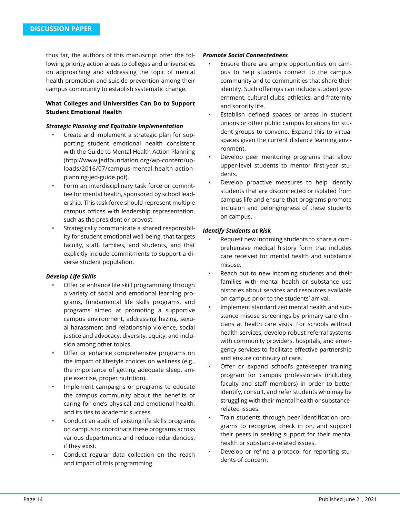thus far, the authors of this manuscript offer the following priority action areas to colleges and universities on approaching and addressing the topic of mental health promotion and suicide prevention among their campus community to establish systematic change.

### **What Colleges and Universities Can Do to Support Student Emotional Health**

#### *Strategic Planning and Equitable Implementation*

- Create and implement a strategic plan for supporting student emotional health consistent with the Guide to Mental Health Action Planning (http://www.jedfoundation.org/wp-content/uploads/2016/07/campus-mental-health-actionplanning-jed-guide.pdf).
- Form an interdisciplinary task force or committee for mental health, sponsored by school leadership. This task force should represent multiple campus offices with leadership representation, such as the president or provost.
- Strategically communicate a shared responsibility for student emotional well-being, that targets faculty, staff, families, and students, and that explicitly include commitments to support a diverse student population.

#### *Develop Life Skills*

- Offer or enhance life skill programming through a variety of social and emotional learning programs, fundamental life skills programs, and programs aimed at promoting a supportive campus environment, addressing hazing, sexual harassment and relationship violence, social justice and advocacy, diversity, equity, and inclusion among other topics.
- Offer or enhance comprehensive programs on the impact of lifestyle choices on wellness (e.g., the importance of getting adequate sleep, ample exercise, proper nutrition).
- Implement campaigns or programs to educate the campus community about the benefits of caring for one's physical and emotional health, and its ties to academic success.
- Conduct an audit of existing life skills programs on campus to coordinate these programs across various departments and reduce redundancies, if they exist.
- Conduct regular data collection on the reach and impact of this programming.

#### *Promote Social Connectedness*

- Ensure there are ample opportunities on campus to help students connect to the campus community and to communities that share their identity. Such offerings can include student government, cultural clubs, athletics, and fraternity and sorority life.
- Establish defined spaces or areas in student unions or other public campus locations for student groups to convene. Expand this to virtual spaces given the current distance learning environment.
- Develop peer mentoring programs that allow upper-level students to mentor first-year students.
- Develop proactive measures to help identify students that are disconnected or isolated from campus life and ensure that programs promote inclusion and belongingness of these students on campus.

### *Identify Students at Risk*

- Request new incoming students to share a comprehensive medical history form that includes care received for mental health and substance misuse.
- Reach out to new incoming students and their families with mental health or substance use histories about services and resources available on campus prior to the students' arrival.
- Implement standardized mental health and substance misuse screenings by primary care clinicians at health care visits. For schools without health services, develop robust referral systems with community providers, hospitals, and emergency services to facilitate effective partnership and ensure continuity of care.
- Offer or expand school's gatekeeper training program for campus professionals (including faculty and staff members) in order to better identify, consult, and refer students who may be struggling with their mental health or substancerelated issues.
- Train students through peer identification programs to recognize, check in on, and support their peers in seeking support for their mental health or substance-related issues.
- Develop or refine a protocol for reporting students of concern.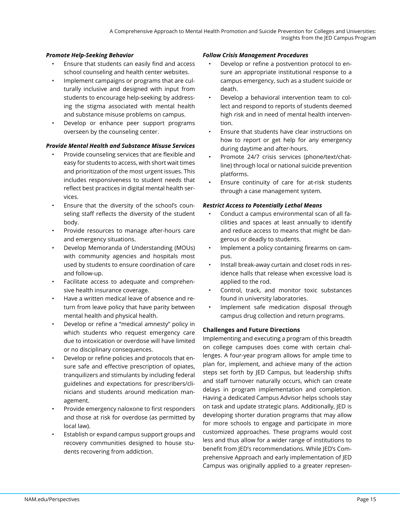### *Promote Help-Seeking Behavior*

- Ensure that students can easily find and access school counseling and health center websites.
- Implement campaigns or programs that are culturally inclusive and designed with input from students to encourage help-seeking by addressing the stigma associated with mental health and substance misuse problems on campus.
- Develop or enhance peer support programs overseen by the counseling center.

#### *Provide Mental Health and Substance Misuse Services*

- Provide counseling services that are flexible and easy for students to access, with short wait times and prioritization of the most urgent issues. This includes responsiveness to student needs that reflect best practices in digital mental health services.
- Ensure that the diversity of the school's counseling staff reflects the diversity of the student body.
- Provide resources to manage after-hours care and emergency situations.
- Develop Memoranda of Understanding (MOUs) with community agencies and hospitals most used by students to ensure coordination of care and follow-up.
- Facilitate access to adequate and comprehensive health insurance coverage.
- Have a written medical leave of absence and return from leave policy that have parity between mental health and physical health.
- Develop or refine a "medical amnesty" policy in which students who request emergency care due to intoxication or overdose will have limited or no disciplinary consequences.
- Develop or refine policies and protocols that ensure safe and effective prescription of opiates, tranquilizers and stimulants by including federal guidelines and expectations for prescribers/clinicians and students around medication management.
- Provide emergency naloxone to first responders and those at risk for overdose (as permitted by local law).
- Establish or expand campus support groups and recovery communities designed to house students recovering from addiction.

#### *Follow Crisis Management Procedures*

- Develop or refine a postvention protocol to ensure an appropriate institutional response to a campus emergency, such as a student suicide or death.
- Develop a behavioral intervention team to collect and respond to reports of students deemed high risk and in need of mental health intervention.
- Ensure that students have clear instructions on how to report or get help for any emergency during daytime and after-hours.
- Promote 24/7 crisis services (phone/text/chatline) through local or national suicide prevention platforms.
- Ensure continuity of care for at-risk students through a case management system.

### *Restrict Access to Potentially Lethal Means*

- Conduct a campus environmental scan of all facilities and spaces at least annually to identify and reduce access to means that might be dangerous or deadly to students.
- Implement a policy containing firearms on campus.
- Install break-away curtain and closet rods in residence halls that release when excessive load is applied to the rod.
- Control, track, and monitor toxic substances found in university laboratories.
- Implement safe medication disposal through campus drug collection and return programs.

#### **Challenges and Future Directions**

Implementing and executing a program of this breadth on college campuses does come with certain challenges. A four-year program allows for ample time to plan for, implement, and achieve many of the action steps set forth by JED Campus, but leadership shifts and staff turnover naturally occurs, which can create delays in program implementation and completion. Having a dedicated Campus Advisor helps schools stay on task and update strategic plans. Additionally, JED is developing shorter duration programs that may allow for more schools to engage and participate in more customized approaches. These programs would cost less and thus allow for a wider range of institutions to benefit from JED's recommendations. While JED's Comprehensive Approach and early implementation of JED Campus was originally applied to a greater represen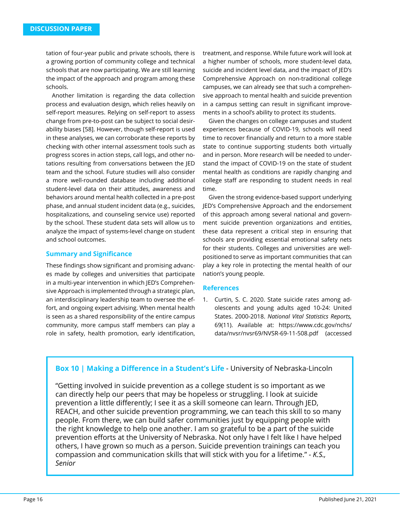tation of four-year public and private schools, there is a growing portion of community college and technical schools that are now participating. We are still learning the impact of the approach and program among these schools.

Another limitation is regarding the data collection process and evaluation design, which relies heavily on self-report measures. Relying on self-report to assess change from pre-to-post can be subject to social desirability biases [58]. However, though self-report is used in these analyses, we can corroborate these reports by checking with other internal assessment tools such as progress scores in action steps, call logs, and other notations resulting from conversations between the JED team and the school. Future studies will also consider a more well-rounded database including additional student-level data on their attitudes, awareness and behaviors around mental health collected in a pre-post phase, and annual student incident data (e.g., suicides, hospitalizations, and counseling service use) reported by the school. These student data sets will allow us to analyze the impact of systems-level change on student and school outcomes.

### **Summary and Significance**

These findings show significant and promising advances made by colleges and universities that participate in a multi-year intervention in which JED's Comprehensive Approach is implemented through a strategic plan, an interdisciplinary leadership team to oversee the effort, and ongoing expert advising. When mental health is seen as a shared responsibility of the entire campus community, more campus staff members can play a role in safety, health promotion, early identification,

treatment, and response. While future work will look at a higher number of schools, more student-level data, suicide and incident level data, and the impact of JED's Comprehensive Approach on non-traditional college campuses, we can already see that such a comprehensive approach to mental health and suicide prevention in a campus setting can result in significant improvements in a school's ability to protect its students.

Given the changes on college campuses and student experiences because of COVID-19, schools will need time to recover financially and return to a more stable state to continue supporting students both virtually and in person. More research will be needed to understand the impact of COVID-19 on the state of student mental health as conditions are rapidly changing and college staff are responding to student needs in real time.

Given the strong evidence-based support underlying JED's Comprehensive Approach and the endorsement of this approach among several national and government suicide prevention organizations and entities, these data represent a critical step in ensuring that schools are providing essential emotional safety nets for their students. Colleges and universities are wellpositioned to serve as important communities that can play a key role in protecting the mental health of our nation's young people.

#### **References**

1. Curtin, S. C. 2020. State suicide rates among adolescents and young adults aged 10-24: United States. 2000-2018. *National Vital Statistics Reports,*  69(11). Available at: https://www.cdc.gov/nchs/ data/nvsr/nvsr69/NVSR-69-11-508.pdf (accessed

# **Box 10 | Making a Difference in a Student's Life** - University of Nebraska-Lincoln

"Getting involved in suicide prevention as a college student is so important as we can directly help our peers that may be hopeless or struggling. I look at suicide prevention a little differently; I see it as a skill someone can learn. Through JED, REACH, and other suicide prevention programming, we can teach this skill to so many people. From there, we can build safer communities just by equipping people with the right knowledge to help one another. I am so grateful to be a part of the suicide prevention efforts at the University of Nebraska. Not only have I felt like I have helped others, I have grown so much as a person. Suicide prevention trainings can teach you compassion and communication skills that will stick with you for a lifetime." *- K.S., Senior*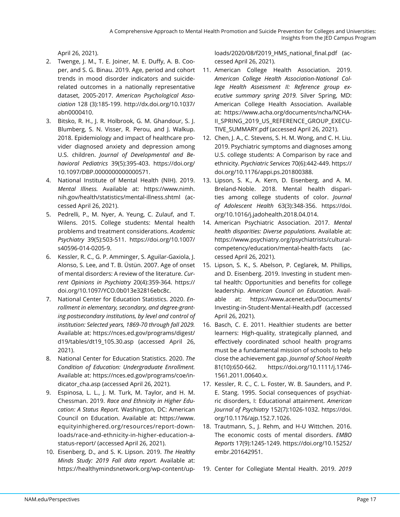April 26, 2021).

- 2. Twenge, J. M., T. E. Joiner, M. E. Duffy, A. B. Cooper, and S. G. Binau. 2019. Age, period and cohort trends in mood disorder indicators and suiciderelated outcomes in a nationally representative dataset, 2005-2017. *American Psychological Association* 128 (3):185-199. http://dx.doi.org/10.1037/ abn0000410.
- 3. Bitsko, R. H., J. R. Holbrook, G. M. Ghandour, S. J. Blumberg, S. N. Visser, R. Perou, and J. Walkup. 2018. Epidemiology and impact of healthcare provider diagnosed anxiety and depression among U.S. children. *Journal of Developmental and Behavioral Pediatrics* 39(5):395-403. https://doi.org/ 10.1097/DBP.0000000000000571.
- 4. National Institute of Mental Health (NIH). 2019. *Mental Illness.* Available at: https://www.nimh. nih.gov/health/statistics/mental-illness.shtml (accessed April 26, 2021).
- 5. Pedrelli, P., M. Nyer, A. Yeung, C. Zulauf, and T. Wilens. 2015. College students: Mental health problems and treatment considerations. *Academic Psychiatry* 39(5):503-511. https://doi.org/10.1007/ s40596-014-0205-9.
- 6. Kessler, R. C., G. P. Amminger, S. Aguilar-Gaxiola, J. Alonso, S. Lee, and T. B. Üstün. 2007. Age of onset of mental disorders: A review of the literature. *Current Opinions in Psychiatry* 20(4):359-364. https:// doi.org/10.1097/YCO.0b013e32816ebc8c.
- 7. National Center for Education Statistics. 2020. *Enrollment in elementary, secondary, and degree-granting postsecondary institutions, by level and control of institution: Selected years, 1869-70 through fall 2029.*  Available at: https://nces.ed.gov/programs/digest/ d19/tables/dt19\_105.30.asp (accessed April 26, 2021).
- 8. National Center for Education Statistics. 2020. *The Condition of Education: Undergraduate Enrollment.*  Available at: https://nces.ed.gov/programs/coe/indicator cha.asp (accessed April 26, 2021).
- 9. Espinosa, L. L., J. M. Turk, M. Taylor, and H. M. Chessman. 2019. *Race and Ethnicity in Higher Education: A Status Report.* Washington, DC: American Council on Education. Available at: https://www. equityinhighered.org/resources/report-downloads/race-and-ethnicity-in-higher-education-astatus-report/ (accessed April 26, 2021).
- 10. Eisenberg, D., and S. K. Lipson. 2019. *The Healthy Minds Study: 2019 Fall data report.* Available at: https://healthymindsnetwork.org/wp-content/up-

loads/2020/08/f2019 HMS national final.pdf (accessed April 26, 2021).

- 11. American College Health Association. 2019. *American College Health Association-National College Health Assessment II: Reference group executive summary spring 2019.* Silver Spring, MD: American College Health Association. Available at: https://www.acha.org/documents/ncha/NCHA-II\_SPRING\_2019\_US\_REFERENCE\_GROUP\_EXECU-TIVE\_SUMMARY.pdf (accessed April 26, 2021).
- 12. Chen, J. A., C. Stevens, S. H. M. Wong, and C. H. Liu. 2019. Psychiatric symptoms and diagnoses among U.S. college students: A Comparison by race and ethnicity. *Psychiatric Services* 70(6):442-449. https:// doi.org/10.1176/appi.ps.201800388.
- 13. Lipson, S. K., A. Kern, D. Eisenberg, and A. M. Breland-Noble. 2018. Mental health disparities among college students of color. *Journal of Adolescent Health* 63(3):348-356. https://doi. org/10.1016/j.jadohealth.2018.04.014.
- 14. American Psychiatric Association. 2017. *Mental health disparities: Diverse populations.* Available at: https://www.psychiatry.org/psychiatrists/culturalcompetency/education/mental-health-facts (accessed April 26, 2021).
- 15. Lipson, S. K., S. Abelson, P. Ceglarek, M. Phillips, and D. Eisenberg. 2019. Investing in student mental health: Opportunities and benefits for college leadership. *American Council on Education.* Available at: https://www.acenet.edu/Documents/ Investing-in-Student-Mental-Health.pdf (accessed April 26, 2021).
- 16. Basch, C. E. 2011. Healthier students are better learners: High-quality, strategically planned, and effectively coordinated school health programs must be a fundamental mission of schools to help close the achievement gap. *Journal of School Health* 81(10):650-662. https://doi.org/10.1111/j.1746- 1561.2011.00640.x.
- 17. Kessler, R. C., C. L. Foster, W. B. Saunders, and P. E. Stang. 1995. Social consequences of psychiatric disorders, I: Educational attainment. *American Journal of Psychiatry* 152(7):1026-1032. https://doi. org/10.1176/ajp.152.7.1026.
- 18. Trautmann, S., J. Rehm, and H-U Wittchen. 2016. The economic costs of mental disorders. *EMBO Reports* 17(9):1245-1249. https://doi.org/10.15252/ embr.201642951.
- 19. Center for Collegiate Mental Health. 2019. *2019*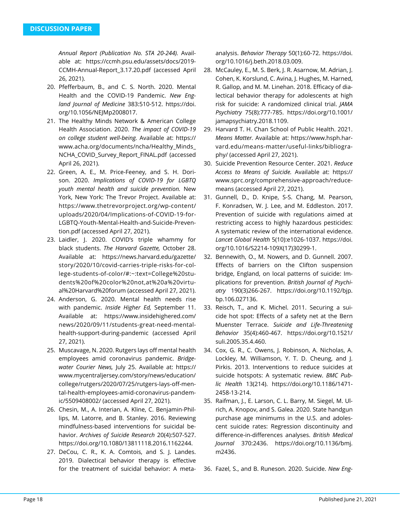*Annual Report (Publication No. STA 20-244).* Available at: https://ccmh.psu.edu/assets/docs/2019- CCMH-Annual-Report\_3.17.20.pdf (accessed April 26, 2021).

- 20. Pfefferbaum, B., and C. S. North. 2020. Mental Health and the COVID-19 Pandemic. *New England Journal of Medicine* 383:510-512. https://doi. org/10.1056/NEJMp2008017.
- 21. The Healthy Minds Network & American College Health Association. 2020. *The impact of COVID-19 on college student well-being.* Available at: https:// www.acha.org/documents/ncha/Healthy\_Minds\_ NCHA\_COVID\_Survey\_Report\_FINAL.pdf (accessed April 26, 2021).
- 22. Green, A. E., M. Price-Feeney, and S. H. Dorison. 2020. *Implications of COVID-19 for LGBTQ youth mental health and suicide prevention.* New York, New York: The Trevor Project. Available at: https://www.thetrevorproject.org/wp-content/ uploads/2020/04/Implications-of-COVID-19-for-LGBTQ-Youth-Mental-Health-and-Suicide-Prevention.pdf (accessed April 27, 2021).
- 23. Laidler, J. 2020. COVID's triple whammy for black students. *The Harvard Gazette,* October 28. Available at: https://news.harvard.edu/gazette/ story/2020/10/covid-carries-triple-risks-for-college-students-of-color/#:~:text=College%20students%20of%20color%20not,at%20a%20virtual%20Harvard%20forum (accessed April 27, 2021).
- 24. Anderson, G. 2020. Mental health needs rise with pandemic. *Inside Higher Ed,* September 11. Available at: https://www.insidehighered.com/ news/2020/09/11/students-great-need-mentalhealth-support-during-pandemic (accessed April 27, 2021).
- 25. Muscavage, N. 2020. Rutgers lays off mental health employees amid coronavirus pandemic. *Bridgewater Courier News,* July 25. Available at: https:// www.mycentraljersey.com/story/news/education/ college/rutgers/2020/07/25/rutgers-lays-off-mental-health-employees-amid-coronavirus-pandemic/5509408002/ (accessed April 27, 2021).
- 26. Chesin, M., A. Interian, A. Kline, C. Benjamin-Phillips, M. Latorre, and B. Stanley. 2016. Reviewing mindfulness-based interventions for suicidal behavior. *Archives of Suicide Research* 20(4):507-527. https://doi.org/10.1080/13811118.2016.1162244.
- 27. DeCou, C. R., K. A. Comtois, and S. J. Landes. 2019. Dialectical behavior therapy is effective for the treatment of suicidal behavior: A meta-

analysis. *Behavior Therapy* 50(1):60-72. https://doi. org/10.1016/j.beth.2018.03.009.

- 28. McCauley, E., M. S. Berk, J. R. Asarnow, M. Adrian, J. Cohen, K. Korslund, C. Avina, J. Hughes, M. Harned, R. Gallop, and M. M. Linehan. 2018. Efficacy of dialectical behavior therapy for adolescents at high risk for suicide: A randomized clinical trial. *JAMA Psychiatry* 75(8):777-785. https://doi.org/10.1001/ jamapsychiatry.2018.1109.
- 29. Harvard T. H. Chan School of Public Health. 2021. *Means Matter.* Available at: https://www.hsph.harvard.edu/means-matter/useful-links/bibliography/ (accessed April 27, 2021).
- 30. Suicide Prevention Resource Center. 2021. *Reduce Access to Means of Suicide.* Available at: https:// www.sprc.org/comprehensive-approach/reducemeans (accessed April 27, 2021).
- 31. Gunnell, D., D. Knipe, S-S. Chang, M. Pearson, F. Konradsen, W. J. Lee, and M. Eddleston. 2017. Prevention of suicide with regulations aimed at restricting access to highly hazardous pesticides: A systematic review of the international evidence. *Lancet Global Health* 5(10):e1026-1037. https://doi. org/10.1016/S2214-109X(17)30299-1.
- 32. Bennewith, O., M. Nowers, and D. Gunnell. 2007. Effects of barriers on the Clifton suspension bridge, England, on local patterns of suicide: Implications for prevention. *British Journal of Psychiatry* 190(3)266-267. https://doi.org/10.1192/bjp. bp.106.027136.
- 33. Reisch, T., and K. Michel. 2011. Securing a suicide hot spot: Effects of a safety net at the Bern Muenster Terrace. *Suicide and Life-Threatening Behavior* 35(4):460-467. https://doi.org/10.1521/ suli.2005.35.4.460.
- 34. Cox, G. R., C. Owens, J. Robinson, A. Nicholas, A. Lockley, M. Williamson, Y. T. D. Cheung, and J. Pirkis. 2013. Interventions to reduce suicides at suicide hotspots: A systematic review. *BMC Public Health* 13(214). https://doi.org/10.1186/1471- 2458-13-214.
- 35. Raifman, J., E. Larson, C. L. Barry, M. Siegel, M. Ulrich, A. Knopov, and S. Galea. 2020. State handgun purchase age minimums in the U.S. and adolescent suicide rates: Regression discontinuity and difference-in-differences analyses. *British Medical Journal* 370:2436. https://doi.org/10.1136/bmj. m2436.
- 36. Fazel, S., and B. Runeson. 2020. Suicide. *New Eng-*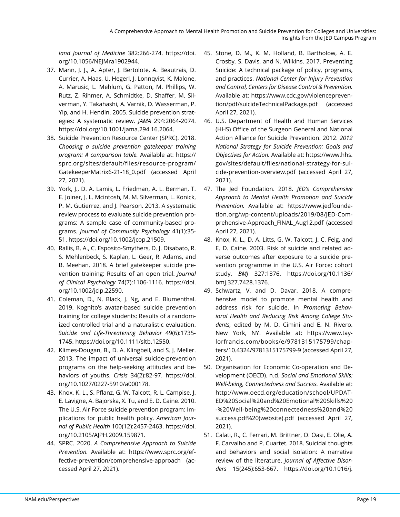*land Journal of Medicine* 382:266-274. https://doi. org/10.1056/NEJMra1902944.

- 37. Mann, J. J., A. Apter, J. Bertolote, A. Beautrais, D. Currier, A. Haas, U. Hegerl, J. Lonnqvist, K. Malone, A. Marusic, L. Mehlum, G. Patton, M. Phillips, W. Rutz, Z. Rihmer, A. Schmidtke, D. Shaffer, M. Silverman, Y. Takahashi, A. Varnik, D. Wasserman, P. Yip, and H. Hendin. 2005. Suicide prevention strategies: A systematic review. *JAMA* 294:2064-2074. https://doi.org/10.1001/jama.294.16.2064.
- 38. Suicide Prevention Resource Center (SPRC). 2018. *Choosing a suicide prevention gatekeeper training program: A comparison table.* Available at: https:// sprc.org/sites/default/files/resource-program/ GatekeeperMatrix6-21-18\_0.pdf (accessed April 27, 2021).
- 39. York, J., D. A. Lamis, L. Friedman, A. L. Berman, T. E. Joiner, J. L. Mcintosh, M. M. Silverman, L. Konick, P. M. Gutierrez, and J. Pearson. 2013. A systematic review process to evaluate suicide prevention programs: A sample case of community-based programs. *Journal of Community Psychology* 41(1):35- 51. https://doi.org/10.1002/jcop.21509.
- 40. Rallis, B. A., C. Esposito-Smythers, D. J. Disabato, R. S. Mehlenbeck, S. Kaplan, L. Geer, R. Adams, and B. Meehan. 2018. A brief gatekeeper suicide prevention training: Results of an open trial. *Journal of Clinical Psychology* 74(7):1106-1116. https://doi. org/10.1002/jclp.22590.
- 41. Coleman, D., N. Black, J. Ng, and E. Blumenthal. 2019. Kognito's avatar-based suicide prevention training for college students: Results of a randomized controlled trial and a naturalistic evaluation. *Suicide and Life-Threatening Behavior* 49(6):1735- 1745. https://doi.org/10.1111/sltb.12550.
- 42. Klimes-Dougan, B., D. A. Klingbeil, and S. J. Meller. 2013. The impact of universal suicide-prevention programs on the help-seeking attitudes and behaviors of youths. *Crisis* 34(2):82-97. https://doi. org/10.1027/0227-5910/a000178.
- 43. Knox, K. L., S. Pflanz, G. W. Talcott, R. L. Campise, J. E. Lavigne, A. Bajorska, X. Tu, and E. D. Caine. 2010. The U.S. Air Force suicide prevention program: Implications for public health policy. *American Journal of Public Health* 100(12):2457-2463. https://doi. org/10.2105/AJPH.2009.159871.
- 44. SPRC. 2020. *A Comprehensive Approach to Suicide Prevention.* Available at: https://www.sprc.org/effective-prevention/comprehensive-approach (accessed April 27, 2021).
- 45. Stone, D. M., K. M. Holland, B. Bartholow, A. E. Crosby, S. Davis, and N. Wilkins. 2017. Preventing Suicide: A technical package of policy, programs, and practices. *National Center for Injury Prevention and Control, Centers for Disease Control & Prevention.*  Available at: https://www.cdc.gov/violenceprevention/pdf/suicideTechnicalPackage.pdf (accessed April 27, 2021).
- 46. U.S. Department of Health and Human Services (HHS) Office of the Surgeon General and National Action Alliance for Suicide Prevention. 2012. *2012 National Strategy for Suicide Prevention: Goals and Objectives for Action.* Available at: https://www.hhs. gov/sites/default/files/national-strategy-for-suicide-prevention-overview.pdf (accessed April 27, 2021).
- 47. The Jed Foundation. 2018. *JED's Comprehensive Approach to Mental Health Promotion and Suicide Prevention.* Available at: https://www.jedfoundation.org/wp-content/uploads/2019/08/JED-Comprehensive-Approach\_FINAL\_Aug12.pdf (accessed April 27, 2021).
- 48. Knox, K. L., D. A. Litts, G. W. Talcott, J. C. Feig, and E. D. Caine. 2003. Risk of suicide and related adverse outcomes after exposure to a suicide prevention programme in the U.S. Air Force: cohort study. *BMJ* 327:1376. https://doi.org/10.1136/ bmj.327.7428.1376.
- 49. Schwartz, V. and D. Davar. 2018. A comprehensive model to promote mental health and address risk for suicide. In *Promoting Behavioral Health and Reducing Risk Among College Students,* edited by M. D. Cimini and E. N. Rivero. New York, NY. Available at: https://www.taylorfrancis.com/books/e/9781315175799/chapters/10.4324/9781315175799-9 (accessed April 27, 2021).
- 50. Organisation for Economic Co-operation and Development (OECD). n.d. *Social and Emotional Skills: Well-being, Connectedness and Success.* Available at: http://www.oecd.org/education/school/UPDAT-ED%20Social%20and%20Emotional%20Skills%20 -%20Well-being%20connectedness%20and%20 success.pdf%20(website).pdf (accessed April 27, 2021).
- 51. Calati, R., C. Ferrari, M. Brittner, O. Oasi, E. Olie, A. F. Carvalho and P. Cuartet. 2018. Suicidal thoughts and behaviors and social isolation: A narrative review of the literature. *Journal of Affective Disorders* 15(245):653-667. https://doi.org/10.1016/j.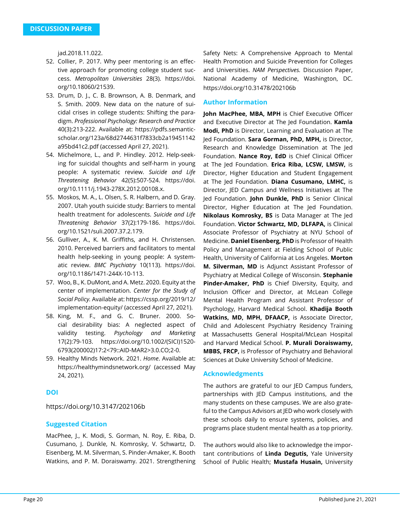jad.2018.11.022.

- 52. Collier, P. 2017. Why peer mentoring is an effective approach for promoting college student success. *Metropolitan Universities* 28(3). https://doi. org/10.18060/21539.
- 53. Drum, D. J., C. B. Brownson, A. B. Denmark, and S. Smith. 2009. New data on the nature of suicidal crises in college students: Shifting the paradigm. *Professional Psychology: Research and Practice* 40(3):213-222. Available at: https://pdfs.semanticscholar.org/123a/68d2744631f7833cb2a19451142 a95bd41c2.pdf (accessed April 27, 2021).
- 54. Michelmore, L., and P. Hindley. 2012. Help-seeking for suicidal thoughts and self-harm in young people: A systematic review. *Suicide and Life Threatening Behavior* 42(5):507-524. https://doi. org/10.1111/j.1943-278X.2012.00108.x.
- 55. Moskos, M. A., L. Olsen, S. R. Halbern, and D. Gray. 2007. Utah youth suicide study: Barriers to mental health treatment for adolescents. *Suicide and Life Threatening Behavior* 37(2):179-186. https://doi. org/10.1521/suli.2007.37.2.179.
- 56. Gulliver, A., K. M. Griffiths, and H. Christensen. 2010. Perceived barriers and facilitators to mental health help-seeking in young people: A systematic review. *BMC Psychiatry* 10(113). https://doi. org/10.1186/1471-244X-10-113.
- 57. Woo, B., K. DuMont, and A. Metz. 2020. Equity at the center of implementation. *Center for the Study of Social Policy.* Available at: https://cssp.org/2019/12/ implementation-equity/ (accessed April 27, 2021).
- 58. King, M. F., and G. C. Bruner. 2000. Social desirability bias: A neglected aspect of validity testing. *Psychology and Marketing*  17(2):79-103. https://doi.org/10.1002/(SICI)1520- 6793(200002)17:2<79::AID-MAR2>3.0.CO;2-0.
- 59. Healthy Minds Network. 2021. *Home*. Available at: https://healthymindsnetwork.org/ (accessed May 24, 2021).

### **DOI**

https://doi.org/10.3147/202106b

### **Suggested Citation**

MacPhee, J., K. Modi, S. Gorman, N. Roy, E. Riba, D. Cusumano, J. Dunkle, N. Komrosky, V. Schwartz, D. Eisenberg, M. M. Silverman, S. Pinder-Amaker, K. Booth Watkins, and P. M. Doraiswamy. 2021. Strengthening

Safety Nets: A Comprehensive Approach to Mental Health Promotion and Suicide Prevention for Colleges and Universities. *NAM Perspectives.* Discussion Paper, National Academy of Medicine, Washington, DC. https://doi.org/10.31478/202106b

### **Author Information**

**John MacPhee, MBA, MPH** is Chief Executive Officer and Executive Director at The Jed Foundation. **Kamla Modi, PhD** is Director, Learning and Evaluation at The Jed Foundation. **Sara Gorman, PhD, MPH,** is Director, Research and Knowledge Dissemination at The Jed Foundation. **Nance Roy, EdD** is Chief Clinical Officer at The Jed Foundation. **Erica Riba, LCSW, LMSW,** is Director, Higher Education and Student Engagement at The Jed Foundation. **Diana Cusumano, LMHC,** is Director, JED Campus and Wellness Initiatives at The Jed Foundation. **John Dunkle, PhD** is Senior Clinical Director, Higher Education at The Jed Foundation. **Nikolaus Komrosky, BS** is Data Manager at The Jed Foundation. **Victor Schwartz, MD, DLFAPA,** is Clinical Associate Professor of Psychiatry at NYU School of Medicine. **Daniel Eisenberg, PhD** is Professor of Health Policy and Management at Fielding School of Public Health, University of California at Los Angeles. **Morton M. Silverman, MD** is Adjunct Assistant Professor of Psychiatry at Medical College of Wisconsin. **Stephanie Pinder-Amaker, PhD** is Chief Diversity, Equity, and Inclusion Officer and Director, at McLean College Mental Health Program and Assistant Professor of Psychology, Harvard Medical School. **Khadija Booth Watkins, MD, MPH, DFAACP,** is Associate Director, Child and Adolescent Psychiatry Residency Training at Massachusetts General Hospital/McLean Hospital and Harvard Medical School. **P. Murali Doraiswamy, MBBS, FRCP,** is Professor of Psychiatry and Behavioral Sciences at Duke University School of Medicine.

#### **Acknowledgments**

The authors are grateful to our JED Campus funders, partnerships with JED Campus institutions, and the many students on these campuses. We are also grateful to the Campus Advisors at JED who work closely with these schools daily to ensure systems, policies, and programs place student mental health as a top priority.

The authors would also like to acknowledge the important contributions of **Linda Degutis,** Yale University School of Public Health; **Mustafa Husain,** University